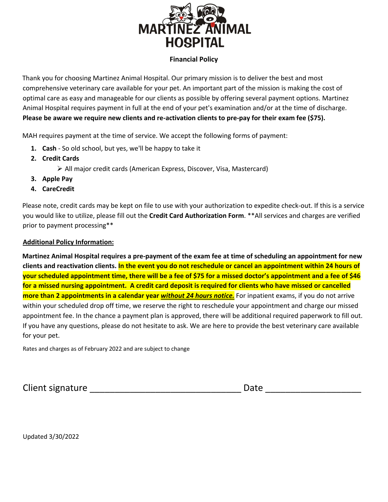

## **Financial Policy**

Thank you for choosing Martinez Animal Hospital. Our primary mission is to deliver the best and most comprehensive veterinary care available for your pet. An important part of the mission is making the cost of optimal care as easy and manageable for our clients as possible by offering several payment options. Martinez Animal Hospital requires payment in full at the end of your pet's examination and/or at the time of discharge. **Please be aware we require new clients and re-activation clients to pre-pay for their exam fee (\$75).**

MAH requires payment at the time of service. We accept the following forms of payment:

- **1. Cash** So old school, but yes, we'll be happy to take it
- **2. Credit Cards**

Ø All major credit cards (American Express, Discover, Visa, Mastercard)

- **3. Apple Pay**
- **4. CareCredit**

Please note, credit cards may be kept on file to use with your authorization to expedite check-out. If this is a service you would like to utilize, please fill out the **Credit Card Authorization Form**. \*\*All services and charges are verified prior to payment processing\*\*

## **Additional Policy Information:**

**Martinez Animal Hospital requires a pre-payment of the exam fee at time of scheduling an appointment for new clients and reactivation clients. In the event you do not reschedule or cancel an appointment within 24 hours of your scheduled appointment time, there will be a fee of \$75 for a missed doctor's appointment and a fee of \$46 for a missed nursing appointment. A credit card deposit is required for clients who have missed or cancelled more than 2 appointments in a calendar year** *without 24 hours notice.* For inpatient exams, if you do not arrive within your scheduled drop off time, we reserve the right to reschedule your appointment and charge our missed appointment fee. In the chance a payment plan is approved, there will be additional required paperwork to fill out. If you have any questions, please do not hesitate to ask. We are here to provide the best veterinary care available for your pet.

Rates and charges as of February 2022 and are subject to change

Client signature example and the contract of the Date of the Date of the Second Second Second Second Second Se

Updated 3/30/2022